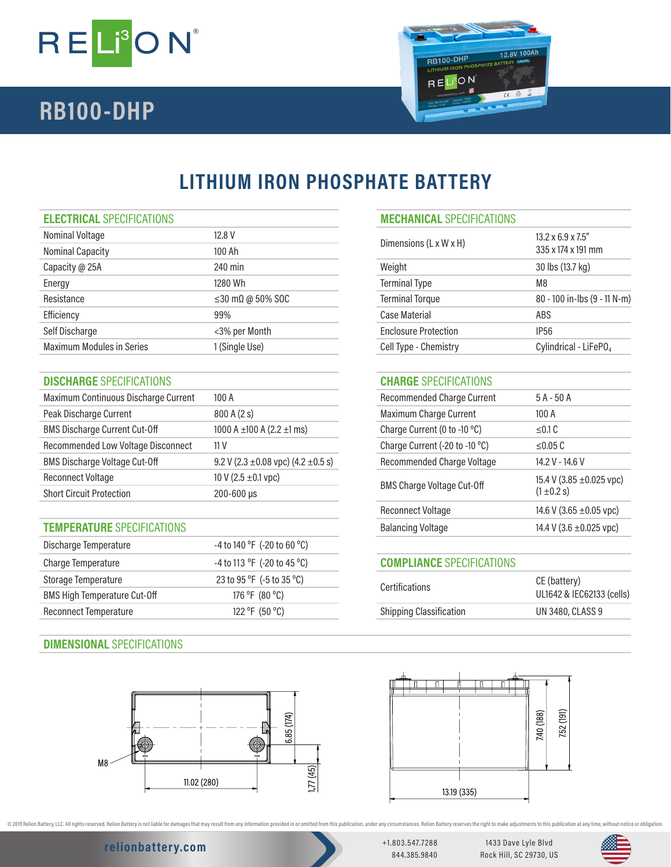

# **RB100-DHP**



# **LITHIUM IRON PHOSPHATE BATTERY**

## **ELECTRICAL** SPECIFICATIONS **MECHANICAL** SPECIFICATIONS

| Nominal Voltage                  | 12.8 V                         | Dimensions (L x W x H)      | $13.2 \times 6.9 \times 7.5$ "    |
|----------------------------------|--------------------------------|-----------------------------|-----------------------------------|
| <b>Nominal Capacity</b>          | 100 Ah                         |                             | 335 x 174 x 191 mm                |
| Capacity @ 25A                   | 240 min                        | Weight                      | 30 lbs (13.7 kg)                  |
| Energy                           | 1280 Wh                        | <b>Terminal Type</b>        | M <sub>8</sub>                    |
| Resistance                       | $\leq$ 30 m $\Omega$ @ 50% SOC | <b>Terminal Torque</b>      | 80 - 100 in-lbs (9 - 11 N-m)      |
| Efficiency                       | 99%                            | Case Material               | ABS                               |
| Self Discharge                   | <3% per Month                  | <b>Enclosure Protection</b> | <b>IP56</b>                       |
| <b>Maximum Modules in Series</b> | 1 (Single Use)                 | Cell Type - Chemistry       | Cylindrical - LiFePO <sub>4</sub> |
|                                  |                                |                             |                                   |

## **DISCHARGE** SPECIFICATIONS **CHARGE** SPECIFICATIONS

| Maximum Continuous Discharge Current | 100A                                         |  | <b>Recommended Charge Current</b> | $5A - 50A$                    |
|--------------------------------------|----------------------------------------------|--|-----------------------------------|-------------------------------|
| Peak Discharge Current               | 800A(2s)                                     |  | <b>Maximum Charge Current</b>     | 100A                          |
| <b>BMS Discharge Current Cut-Off</b> | 1000 A $\pm$ 100 A (2.2 $\pm$ 1 ms)          |  | Charge Current (0 to -10 °C)      | $\leq$ 0.1 C                  |
| Recommended Low Voltage Disconnect   | 11 V                                         |  | Charge Current (-20 to -10 °C)    | $\leq$ 0.05 C                 |
| <b>BMS Discharge Voltage Cut-Off</b> | 9.2 V (2.3 $\pm$ 0.08 vpc) (4.2 $\pm$ 0.5 s) |  | Recommended Charge Voltage        | 14.2 V - 14.6 V               |
| <b>Reconnect Voltage</b>             | 10 V (2.5 $\pm$ 0.1 vpc)                     |  |                                   | 15.4 V (3.85 $\pm$ 0.025 vpc) |
| <b>Short Circuit Protection</b>      | $200 - 600 \,\mu s$                          |  | <b>BMS Charge Voltage Cut-Off</b> | $(1 \pm 0.2 s)$               |

## **TEMPERATURE** SPECIFICATIONS

| Discharge Temperature               | -4 to 140 °F (-20 to 60 °C) |                                  |                           |
|-------------------------------------|-----------------------------|----------------------------------|---------------------------|
| Charge Temperature                  | -4 to 113 °F (-20 to 45 °C) | <b>COMPLIANCE SPECIFICATIONS</b> |                           |
| Storage Temperature                 | 23 to 95 °F (-5 to 35 °C)   | <b>Certifications</b>            | CE (battery)              |
| <b>BMS High Temperature Cut-Off</b> | 176 °F (80 °C)              |                                  | UL1642 & IEC62133 (cells) |
| Reconnect Temperature               | 122 °F (50 °C)              | <b>Shipping Classification</b>   | UN 3480, CLASS 9          |
|                                     |                             |                                  |                           |

## **DIMENSIONAL** SPECIFICATIONS



| Dimensions (L x W x H)      | $13.2 \times 6.9 \times 7.5$ "<br>335 x 174 x 191 mm |
|-----------------------------|------------------------------------------------------|
| Weight                      | 30 lbs (13.7 kg)                                     |
| <b>Terminal Type</b>        | M8                                                   |
| <b>Terminal Torque</b>      | 80 - 100 in-lbs (9 - 11 N-m)                         |
| Case Material               | ABS                                                  |
| <b>Enclosure Protection</b> | IP56                                                 |
| Cell Type - Chemistry       | Cylindrical - LiFePO <sub>4</sub>                    |

| Recommended Charge Current        | $5A - 50A$                                       |
|-----------------------------------|--------------------------------------------------|
| Maximum Charge Current            | 100A                                             |
| Charge Current (0 to -10 °C)      | < 0.1 C                                          |
| Charge Current (-20 to -10 °C)    | < 0.05 C                                         |
| Recommended Charge Voltage        | 14.2 V - 14.6 V                                  |
| <b>BMS Charge Voltage Cut-Off</b> | 15.4 V (3.85 $\pm$ 0.025 vpc)<br>$(1 \pm 0.2 s)$ |
| Reconnect Voltage                 | 14.6 V (3.65 $\pm$ 0.05 vpc)                     |
| Balancing Voltage                 | 14.4 V (3.6 $\pm$ 0.025 vpc)                     |
|                                   |                                                  |

# **COMPLIANCE** SPECIFICATIONS

| <b>Certifications</b>          | CE (battery)<br>UL1642 & IEC62133 (cells) |
|--------------------------------|-------------------------------------------|
| <b>Shipping Classification</b> | UN 3480, CLASS 9                          |
|                                |                                           |



@ 2019 Relion Battery, LLC. All rights reserved. Relion Battery is not liable for damages that may result from any information provided in or omitted from this publication, under any orcumstances. Relion Battery reserves t

# **relionbattery.com** +1.803.547.7288

844.385.9840

1433 Dave Lyle Blvd Rock Hill, SC 29730, US